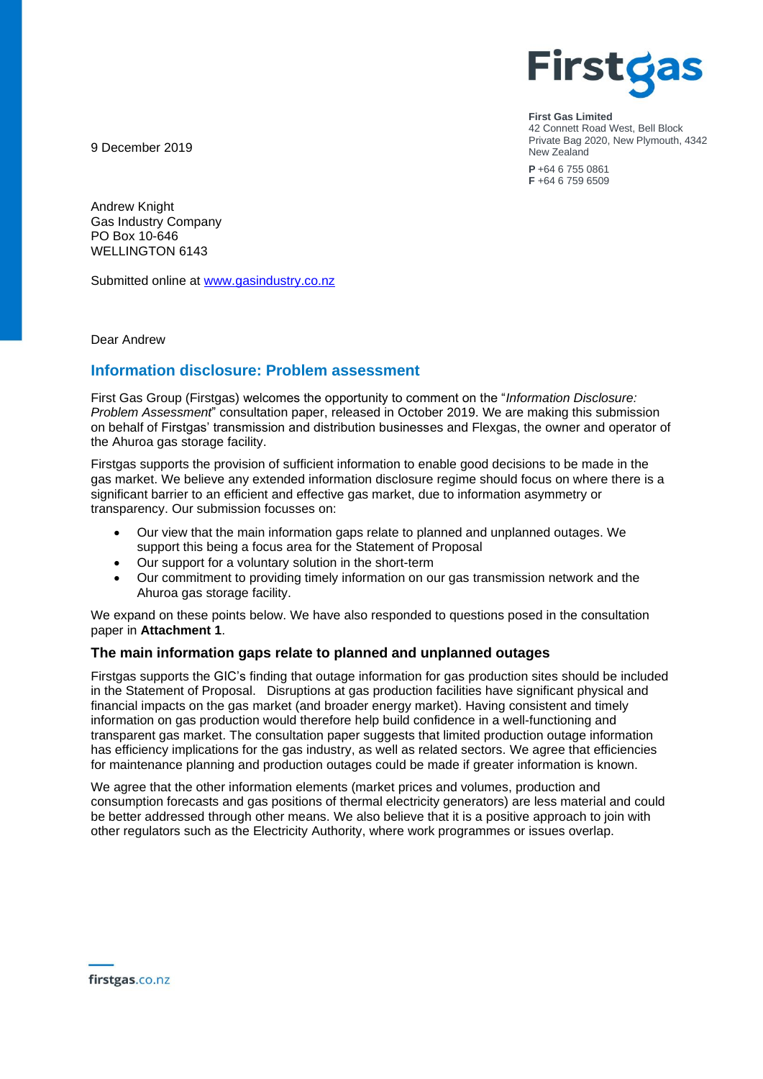

**First Gas Limited** 42 Connett Road West, Bell Block Private Bag 2020, New Plymouth, 4342 New Zealand

**P** +64 6 755 0861 **F** +64 6 759 6509

9 December 2019

Andrew Knight Gas Industry Company PO Box 10-646 WELLINGTON 6143

Submitted online at [www.gasindustry.co.nz](http://www.gasindustry.co.nz/)

Dear Andrew

# **Information disclosure: Problem assessment**

First Gas Group (Firstgas) welcomes the opportunity to comment on the "*Information Disclosure: Problem Assessment*" consultation paper, released in October 2019. We are making this submission on behalf of Firstgas' transmission and distribution businesses and Flexgas, the owner and operator of the Ahuroa gas storage facility.

Firstgas supports the provision of sufficient information to enable good decisions to be made in the gas market. We believe any extended information disclosure regime should focus on where there is a significant barrier to an efficient and effective gas market, due to information asymmetry or transparency. Our submission focusses on:

- Our view that the main information gaps relate to planned and unplanned outages. We support this being a focus area for the Statement of Proposal
- Our support for a voluntary solution in the short-term
- Our commitment to providing timely information on our gas transmission network and the Ahuroa gas storage facility.

We expand on these points below. We have also responded to questions posed in the consultation paper in **Attachment 1**.

### **The main information gaps relate to planned and unplanned outages**

Firstgas supports the GIC's finding that outage information for gas production sites should be included in the Statement of Proposal. Disruptions at gas production facilities have significant physical and financial impacts on the gas market (and broader energy market). Having consistent and timely information on gas production would therefore help build confidence in a well-functioning and transparent gas market. The consultation paper suggests that limited production outage information has efficiency implications for the gas industry, as well as related sectors. We agree that efficiencies for maintenance planning and production outages could be made if greater information is known.

We agree that the other information elements (market prices and volumes, production and consumption forecasts and gas positions of thermal electricity generators) are less material and could be better addressed through other means. We also believe that it is a positive approach to join with other regulators such as the Electricity Authority, where work programmes or issues overlap.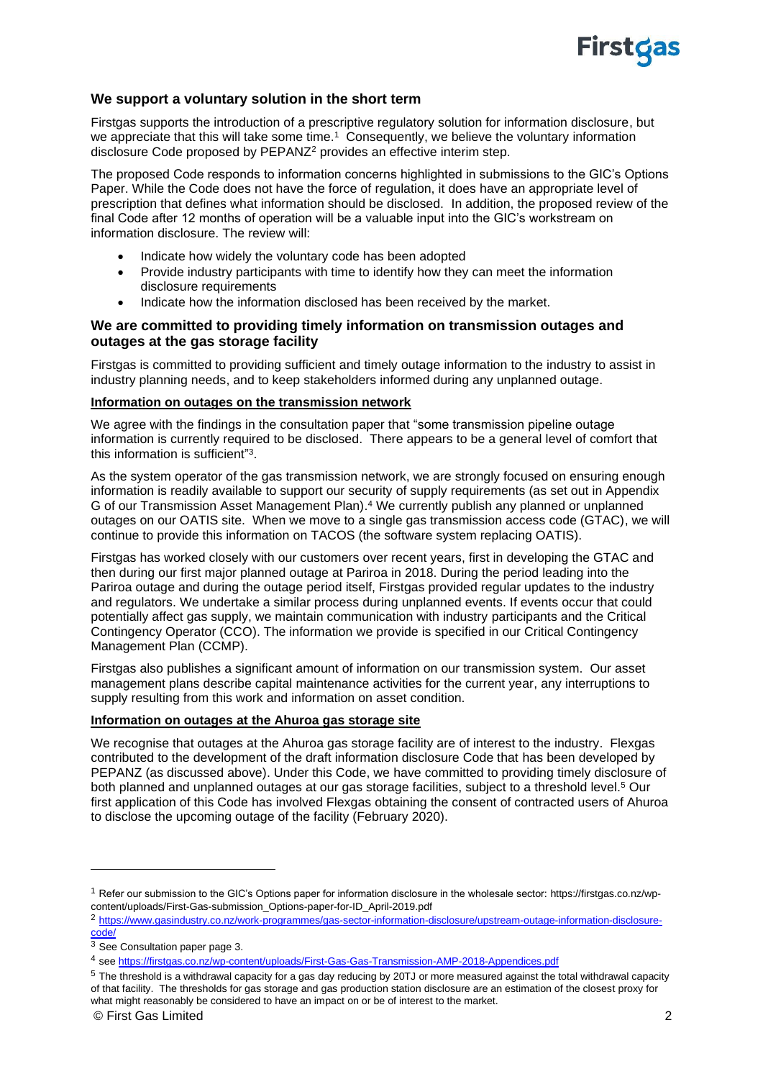

## **We support a voluntary solution in the short term**

Firstgas supports the introduction of a prescriptive regulatory solution for information disclosure, but we appreciate that this will take some time.<sup>1</sup> Consequently, we believe the voluntary information disclosure Code proposed by PEPANZ<sup>2</sup> provides an effective interim step.

The proposed Code responds to information concerns highlighted in submissions to the GIC's Options Paper. While the Code does not have the force of regulation, it does have an appropriate level of prescription that defines what information should be disclosed. In addition, the proposed review of the final Code after 12 months of operation will be a valuable input into the GIC's workstream on information disclosure. The review will:

- Indicate how widely the voluntary code has been adopted
- Provide industry participants with time to identify how they can meet the information disclosure requirements
- Indicate how the information disclosed has been received by the market.

### **We are committed to providing timely information on transmission outages and outages at the gas storage facility**

Firstgas is committed to providing sufficient and timely outage information to the industry to assist in industry planning needs, and to keep stakeholders informed during any unplanned outage.

#### **Information on outages on the transmission network**

We agree with the findings in the consultation paper that "some transmission pipeline outage" information is currently required to be disclosed. There appears to be a general level of comfort that this information is sufficient"<sup>3</sup>.

As the system operator of the gas transmission network, we are strongly focused on ensuring enough information is readily available to support our security of supply requirements (as set out in Appendix G of our Transmission Asset Management Plan). <sup>4</sup> We currently publish any planned or unplanned outages on our OATIS site. When we move to a single gas transmission access code (GTAC), we will continue to provide this information on TACOS (the software system replacing OATIS).

Firstgas has worked closely with our customers over recent years, first in developing the GTAC and then during our first major planned outage at Pariroa in 2018. During the period leading into the Pariroa outage and during the outage period itself, Firstgas provided regular updates to the industry and regulators. We undertake a similar process during unplanned events. If events occur that could potentially affect gas supply, we maintain communication with industry participants and the Critical Contingency Operator (CCO). The information we provide is specified in our Critical Contingency Management Plan (CCMP).

Firstgas also publishes a significant amount of information on our transmission system. Our asset management plans describe capital maintenance activities for the current year, any interruptions to supply resulting from this work and information on asset condition.

#### **Information on outages at the Ahuroa gas storage site**

We recognise that outages at the Ahuroa gas storage facility are of interest to the industry. Flexgas contributed to the development of the draft information disclosure Code that has been developed by PEPANZ (as discussed above). Under this Code, we have committed to providing timely disclosure of both planned and unplanned outages at our gas storage facilities, subject to a threshold level.<sup>5</sup> Our first application of this Code has involved Flexgas obtaining the consent of contracted users of Ahuroa to disclose the upcoming outage of the facility (February 2020).

<sup>1</sup> Refer our submission to the GIC's Options paper for information disclosure in the wholesale sector: https://firstgas.co.nz/wpcontent/uploads/First-Gas-submission\_Options-paper-for-ID\_April-2019.pdf

<sup>2</sup> [https://www.gasindustry.co.nz/work-programmes/gas-sector-information-disclosure/upstream-outage-information-disclosure](https://www.gasindustry.co.nz/work-programmes/gas-sector-information-disclosure/upstream-outage-information-disclosure-code/)[code/](https://www.gasindustry.co.nz/work-programmes/gas-sector-information-disclosure/upstream-outage-information-disclosure-code/)

 $3$  See Consultation paper page 3.

<sup>4</sup> see <https://firstgas.co.nz/wp-content/uploads/First-Gas-Gas-Transmission-AMP-2018-Appendices.pdf>

<sup>&</sup>lt;sup>5</sup> The threshold is a withdrawal capacity for a gas day reducing by 20TJ or more measured against the total withdrawal capacity of that facility. The thresholds for gas storage and gas production station disclosure are an estimation of the closest proxy for what might reasonably be considered to have an impact on or be of interest to the market.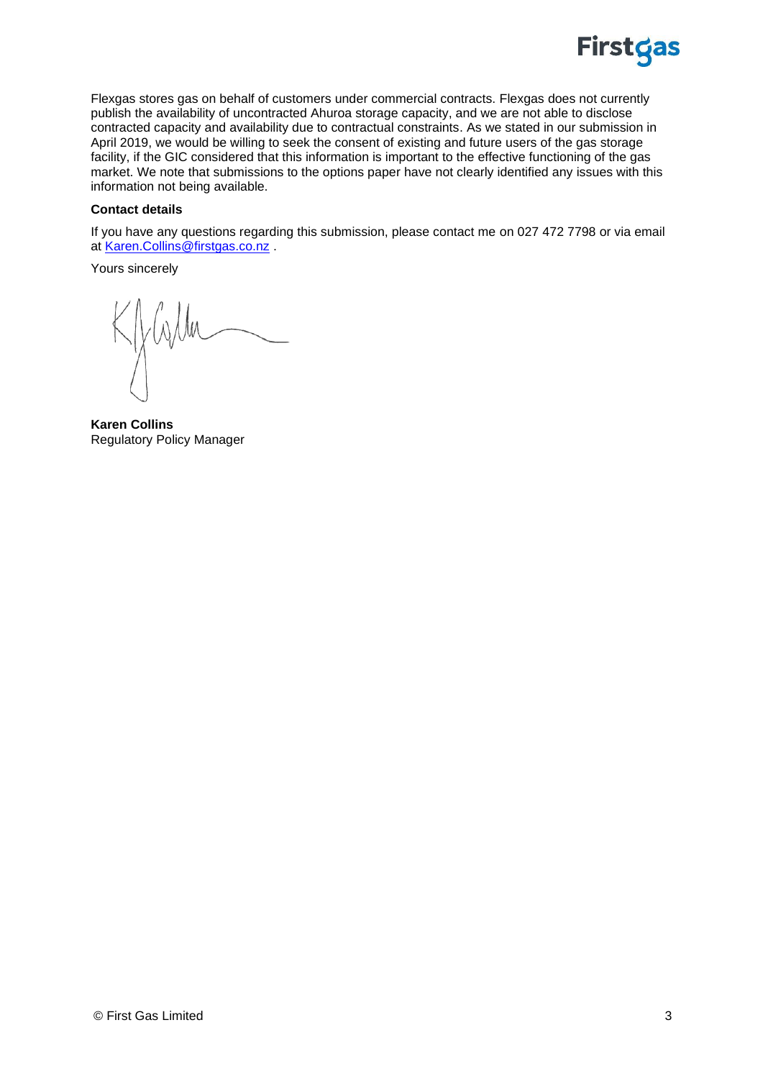

Flexgas stores gas on behalf of customers under commercial contracts. Flexgas does not currently publish the availability of uncontracted Ahuroa storage capacity, and we are not able to disclose contracted capacity and availability due to contractual constraints. As we stated in our submission in April 2019, we would be willing to seek the consent of existing and future users of the gas storage facility, if the GIC considered that this information is important to the effective functioning of the gas market. We note that submissions to the options paper have not clearly identified any issues with this information not being available.

#### **Contact details**

If you have any questions regarding this submission, please contact me on 027 472 7798 or via email at [Karen.Collins@firstgas.co.nz](mailto:Karen.Collins@firstgas.co.nz) .

Yours sincerely

**Karen Collins** Regulatory Policy Manager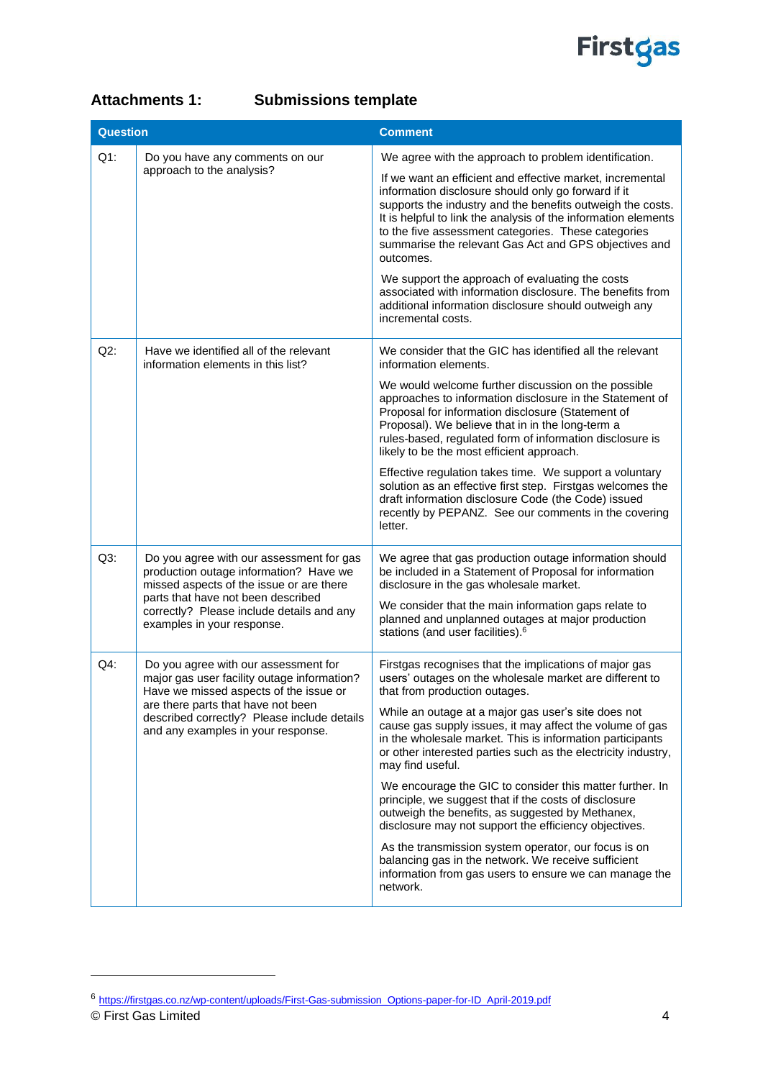

| <b>Attachments 1:</b> | <b>Submissions template</b> |
|-----------------------|-----------------------------|
|-----------------------|-----------------------------|

| <b>Question</b> |                                                                                                                                                                                                                                                          | <b>Comment</b>                                                                                                                                                                                                                                                                                                                                                                                                                                                                                                                                                                                                                                                                                                                                                                                                                                 |
|-----------------|----------------------------------------------------------------------------------------------------------------------------------------------------------------------------------------------------------------------------------------------------------|------------------------------------------------------------------------------------------------------------------------------------------------------------------------------------------------------------------------------------------------------------------------------------------------------------------------------------------------------------------------------------------------------------------------------------------------------------------------------------------------------------------------------------------------------------------------------------------------------------------------------------------------------------------------------------------------------------------------------------------------------------------------------------------------------------------------------------------------|
| $Q1$ :          | Do you have any comments on our<br>approach to the analysis?                                                                                                                                                                                             | We agree with the approach to problem identification.<br>If we want an efficient and effective market, incremental<br>information disclosure should only go forward if it<br>supports the industry and the benefits outweigh the costs.<br>It is helpful to link the analysis of the information elements<br>to the five assessment categories. These categories<br>summarise the relevant Gas Act and GPS objectives and<br>outcomes.<br>We support the approach of evaluating the costs<br>associated with information disclosure. The benefits from<br>additional information disclosure should outweigh any<br>incremental costs.                                                                                                                                                                                                          |
| $Q2$ :          | Have we identified all of the relevant<br>information elements in this list?                                                                                                                                                                             | We consider that the GIC has identified all the relevant<br>information elements.<br>We would welcome further discussion on the possible<br>approaches to information disclosure in the Statement of<br>Proposal for information disclosure (Statement of<br>Proposal). We believe that in in the long-term a<br>rules-based, regulated form of information disclosure is<br>likely to be the most efficient approach.<br>Effective regulation takes time. We support a voluntary<br>solution as an effective first step. Firstgas welcomes the<br>draft information disclosure Code (the Code) issued<br>recently by PEPANZ. See our comments in the covering<br>letter.                                                                                                                                                                      |
| $Q3$ :          | Do you agree with our assessment for gas<br>production outage information? Have we<br>missed aspects of the issue or are there<br>parts that have not been described<br>correctly? Please include details and any<br>examples in your response.          | We agree that gas production outage information should<br>be included in a Statement of Proposal for information<br>disclosure in the gas wholesale market.<br>We consider that the main information gaps relate to<br>planned and unplanned outages at major production<br>stations (and user facilities). <sup>6</sup>                                                                                                                                                                                                                                                                                                                                                                                                                                                                                                                       |
| $Q4$ :          | Do you agree with our assessment for<br>major gas user facility outage information?<br>Have we missed aspects of the issue or<br>are there parts that have not been<br>described correctly? Please include details<br>and any examples in your response. | Firstgas recognises that the implications of major gas<br>users' outages on the wholesale market are different to<br>that from production outages.<br>While an outage at a major gas user's site does not<br>cause gas supply issues, it may affect the volume of gas<br>in the wholesale market. This is information participants<br>or other interested parties such as the electricity industry,<br>may find useful.<br>We encourage the GIC to consider this matter further. In<br>principle, we suggest that if the costs of disclosure<br>outweigh the benefits, as suggested by Methanex,<br>disclosure may not support the efficiency objectives.<br>As the transmission system operator, our focus is on<br>balancing gas in the network. We receive sufficient<br>information from gas users to ensure we can manage the<br>network. |

<sup>6</sup> [https://firstgas.co.nz/wp-content/uploads/First-Gas-submission\\_Options-paper-for-ID\\_April-2019.pdf](https://firstgas.co.nz/wp-content/uploads/First-Gas-submission_Options-paper-for-ID_April-2019.pdf)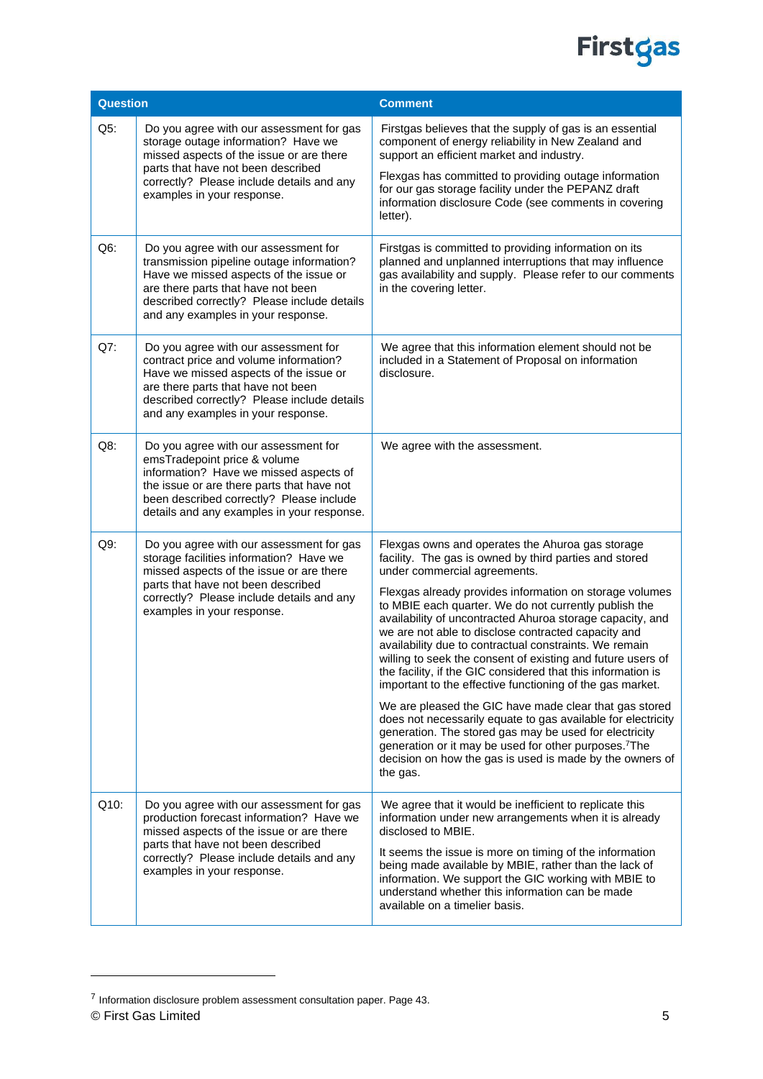

| Question                                                                                                      |                                                                                                                                                                                                                                                                                                                                                                                                                                                                                            | <b>Comment</b>                                                                                                                                                                                                                                                                                                                |
|---------------------------------------------------------------------------------------------------------------|--------------------------------------------------------------------------------------------------------------------------------------------------------------------------------------------------------------------------------------------------------------------------------------------------------------------------------------------------------------------------------------------------------------------------------------------------------------------------------------------|-------------------------------------------------------------------------------------------------------------------------------------------------------------------------------------------------------------------------------------------------------------------------------------------------------------------------------|
| $Q5$ :                                                                                                        | Do you agree with our assessment for gas<br>storage outage information? Have we<br>missed aspects of the issue or are there<br>parts that have not been described<br>correctly? Please include details and any<br>examples in your response.                                                                                                                                                                                                                                               | Firstgas believes that the supply of gas is an essential<br>component of energy reliability in New Zealand and<br>support an efficient market and industry.<br>Flexgas has committed to providing outage information                                                                                                          |
|                                                                                                               |                                                                                                                                                                                                                                                                                                                                                                                                                                                                                            | for our gas storage facility under the PEPANZ draft<br>information disclosure Code (see comments in covering<br>letter).                                                                                                                                                                                                      |
| $Q6$ :                                                                                                        | Do you agree with our assessment for<br>transmission pipeline outage information?<br>Have we missed aspects of the issue or<br>are there parts that have not been<br>described correctly? Please include details<br>and any examples in your response.                                                                                                                                                                                                                                     | Firstgas is committed to providing information on its<br>planned and unplanned interruptions that may influence<br>gas availability and supply. Please refer to our comments<br>in the covering letter.                                                                                                                       |
| Q7:                                                                                                           | Do you agree with our assessment for<br>contract price and volume information?<br>Have we missed aspects of the issue or<br>are there parts that have not been<br>described correctly? Please include details<br>and any examples in your response.                                                                                                                                                                                                                                        | We agree that this information element should not be<br>included in a Statement of Proposal on information<br>disclosure.                                                                                                                                                                                                     |
| $Q8$ :                                                                                                        | Do you agree with our assessment for<br>emsTradepoint price & volume<br>information? Have we missed aspects of<br>the issue or are there parts that have not<br>been described correctly? Please include<br>details and any examples in your response.                                                                                                                                                                                                                                     | We agree with the assessment.                                                                                                                                                                                                                                                                                                 |
| $Q9$ :                                                                                                        | Do you agree with our assessment for gas<br>storage facilities information? Have we<br>missed aspects of the issue or are there                                                                                                                                                                                                                                                                                                                                                            | Flexgas owns and operates the Ahuroa gas storage<br>facility. The gas is owned by third parties and stored<br>under commercial agreements.                                                                                                                                                                                    |
| parts that have not been described<br>correctly? Please include details and any<br>examples in your response. | Flexgas already provides information on storage volumes<br>to MBIE each quarter. We do not currently publish the<br>availability of uncontracted Ahuroa storage capacity, and<br>we are not able to disclose contracted capacity and<br>availability due to contractual constraints. We remain<br>willing to seek the consent of existing and future users of<br>the facility, if the GIC considered that this information is<br>important to the effective functioning of the gas market. |                                                                                                                                                                                                                                                                                                                               |
|                                                                                                               |                                                                                                                                                                                                                                                                                                                                                                                                                                                                                            | We are pleased the GIC have made clear that gas stored<br>does not necessarily equate to gas available for electricity<br>generation. The stored gas may be used for electricity<br>generation or it may be used for other purposes. <sup>7</sup> The<br>decision on how the gas is used is made by the owners of<br>the gas. |
| Q10:                                                                                                          | Do you agree with our assessment for gas<br>production forecast information? Have we<br>missed aspects of the issue or are there<br>parts that have not been described                                                                                                                                                                                                                                                                                                                     | We agree that it would be inefficient to replicate this<br>information under new arrangements when it is already<br>disclosed to MBIE.                                                                                                                                                                                        |
| correctly? Please include details and any<br>examples in your response.                                       | It seems the issue is more on timing of the information<br>being made available by MBIE, rather than the lack of<br>information. We support the GIC working with MBIE to<br>understand whether this information can be made<br>available on a timelier basis.                                                                                                                                                                                                                              |                                                                                                                                                                                                                                                                                                                               |

 $\overline{\phantom{a}}$ 

<sup>©</sup> First Gas Limited 5 <sup>7</sup> Information disclosure problem assessment consultation paper. Page 43.